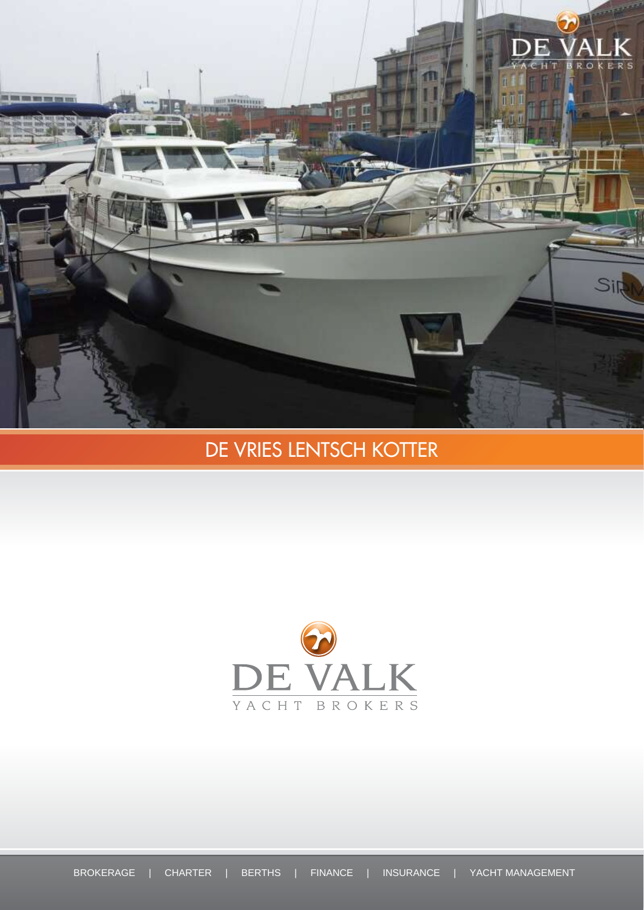

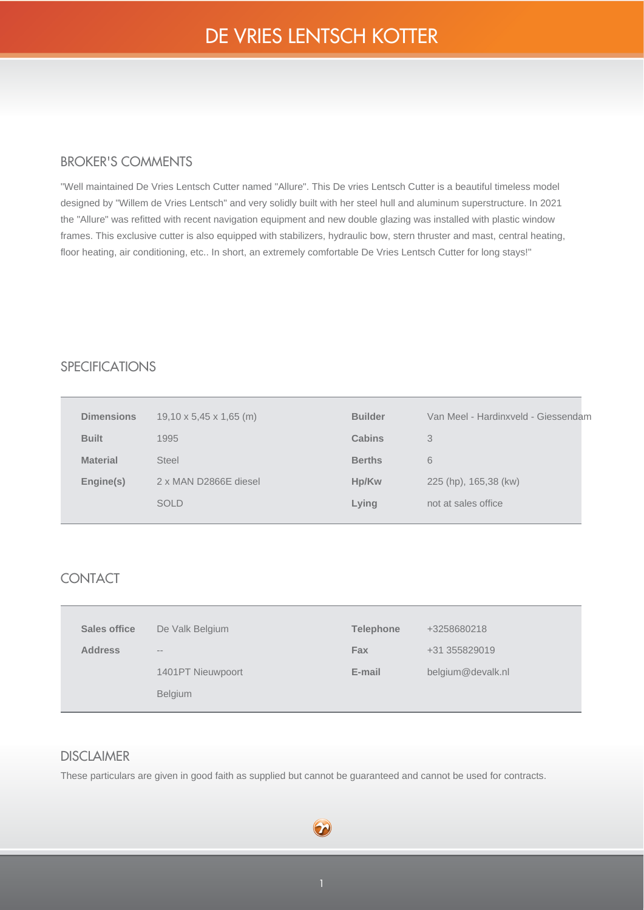#### **BROKER'S COMMENTS**

''Well maintained De Vries Lentsch Cutter named "Allure". This De vries Lentsch Cutter is a beautiful timeless model designed by "Willem de Vries Lentsch" and very solidly built with her steel hull and aluminum superstructure. In 2021 the "Allure" was refitted with recent navigation equipment and new double glazing was installed with plastic window frames. This exclusive cutter is also equipped with stabilizers, hydraulic bow, stern thruster and mast, central heating, floor heating, air conditioning, etc.. In short, an extremely comfortable De Vries Lentsch Cutter for long stays!"

#### **SPECIFICATIONS**

| <b>Dimensions</b> | $19,10 \times 5,45 \times 1,65$ (m) | <b>Builder</b>     | Van Meel - Hardinxveld - Giessendam |
|-------------------|-------------------------------------|--------------------|-------------------------------------|
| <b>Built</b>      | 1995                                | Cabins             | 3                                   |
| <b>Material</b>   | Steel                               | <b>Berths</b>      | 6                                   |
| Engine(s)         | 2 x MAN D2866E diesel               | H <sub>p</sub> /Kw | 225 (hp), 165,38 (kw)               |
|                   | <b>SOLD</b>                         | Lying              | not at sales office                 |
|                   |                                     |                    |                                     |

#### **CONTACT**

| <b>Sales office</b> | De Valk Belgium   | <b>Telephone</b> | +3258680218       |
|---------------------|-------------------|------------------|-------------------|
| <b>Address</b>      | $\frac{1}{2}$     | Fax              | +31 355829019     |
|                     | 1401PT Nieuwpoort | E-mail           | belgium@devalk.nl |
|                     | <b>Belgium</b>    |                  |                   |

#### **DISCLAIMER**

These particulars are given in good faith as supplied but cannot be guaranteed and cannot be used for contracts.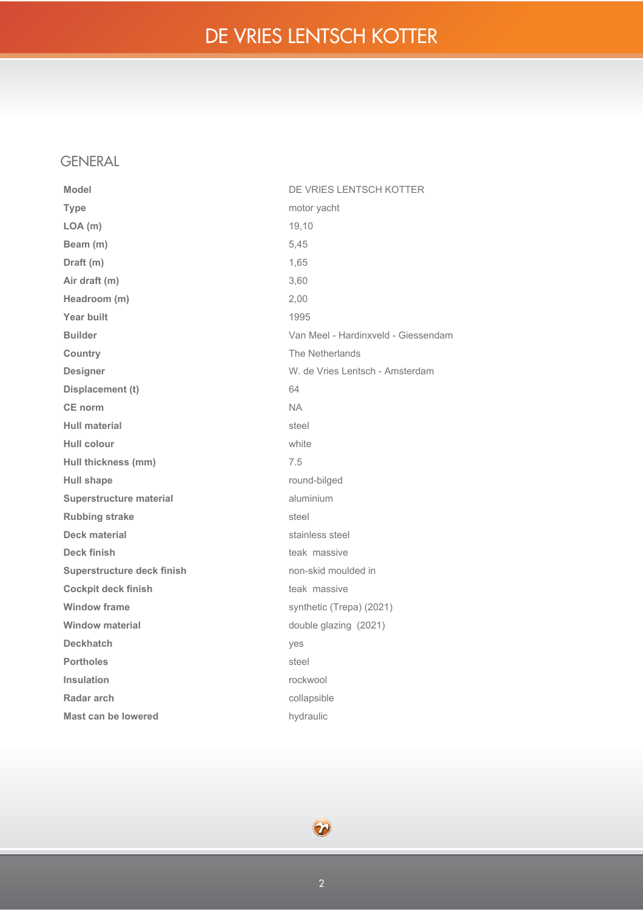#### **GENERAL**

**Model DE VRIES LENTSCH KOTTER Type motor yacht LOA (m) 19,10 Beam (m) 5,45 Draft (m) 1,65 Air draft (m) 3,60 Headroom (m) 2,00 Year built 1995 Builder Van Meel - Hardinxveld - Giessendam Country The Netherlands Designer W. de Vries Lentsch - Amsterdam Displacement (t) 64 CE norm NA Hull material steel Hull colour white Hull thickness (mm) 7.5 Hull shape round-bilged Superstructure material aluminium Rubbing strake steel Deck material stainless steel Deck finish teak massive Superstructure deck finish non-skid moulded in Cockpit deck finish teak** massive **Window frame synthetic** (Trepa) (2021) **Window material double** glazing (2021) **Deckhatch yes Portholes steel Insulation rockwool Radar arch collapsible Mast can be lowered hydraulic** 

 $\bm{\omega}$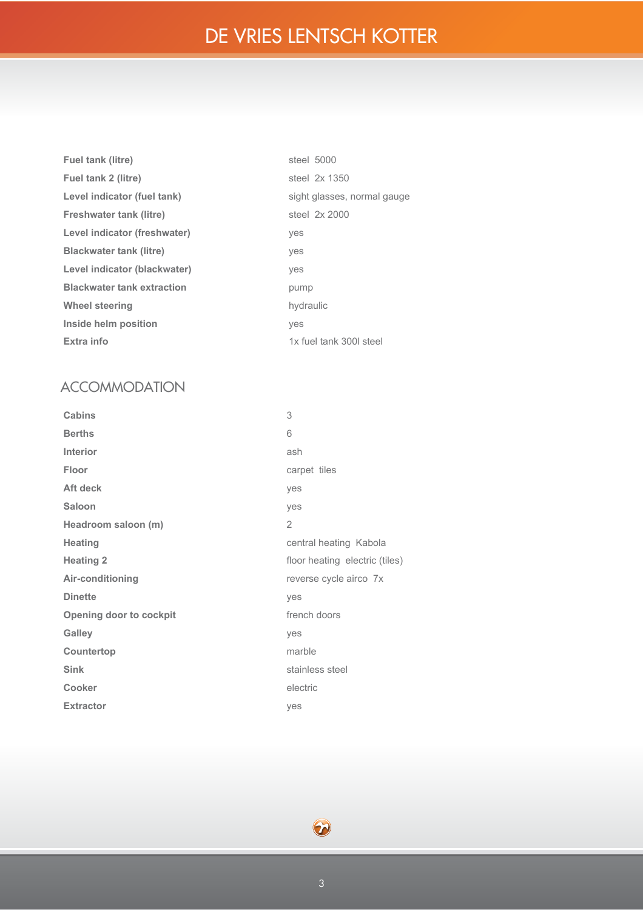| <b>Fuel tank (litre)</b>          | steel 5000                  |
|-----------------------------------|-----------------------------|
| Fuel tank 2 (litre)               | steel 2x 1350               |
| Level indicator (fuel tank)       | sight glasses, normal gauge |
| <b>Freshwater tank (litre)</b>    | steel 2x 2000               |
| Level indicator (freshwater)      | yes                         |
| <b>Blackwater tank (litre)</b>    | <b>ves</b>                  |
| Level indicator (blackwater)      | yes                         |
| <b>Blackwater tank extraction</b> | pump                        |
| <b>Wheel steering</b>             | hydraulic                   |
| Inside helm position              | ves                         |
| <b>Extra info</b>                 | 1x fuel tank 300 steel      |

### **ACCOMMODATION**

| <b>Cabins</b>                  | 3                              |
|--------------------------------|--------------------------------|
| <b>Berths</b>                  | 6                              |
| <b>Interior</b>                | ash                            |
| Floor                          | carpet tiles                   |
| Aft deck                       | yes                            |
| Saloon                         | yes                            |
| Headroom saloon (m)            | $\overline{2}$                 |
| <b>Heating</b>                 | central heating Kabola         |
| <b>Heating 2</b>               | floor heating electric (tiles) |
| Air-conditioning               | reverse cycle airco 7x         |
| <b>Dinette</b>                 | yes                            |
| <b>Opening door to cockpit</b> | french doors                   |
| Galley                         | yes                            |
| Countertop                     | marble                         |
| <b>Sink</b>                    | stainless steel                |
| Cooker                         | electric                       |
| <b>Extractor</b>               | yes                            |
|                                |                                |

 $\odot$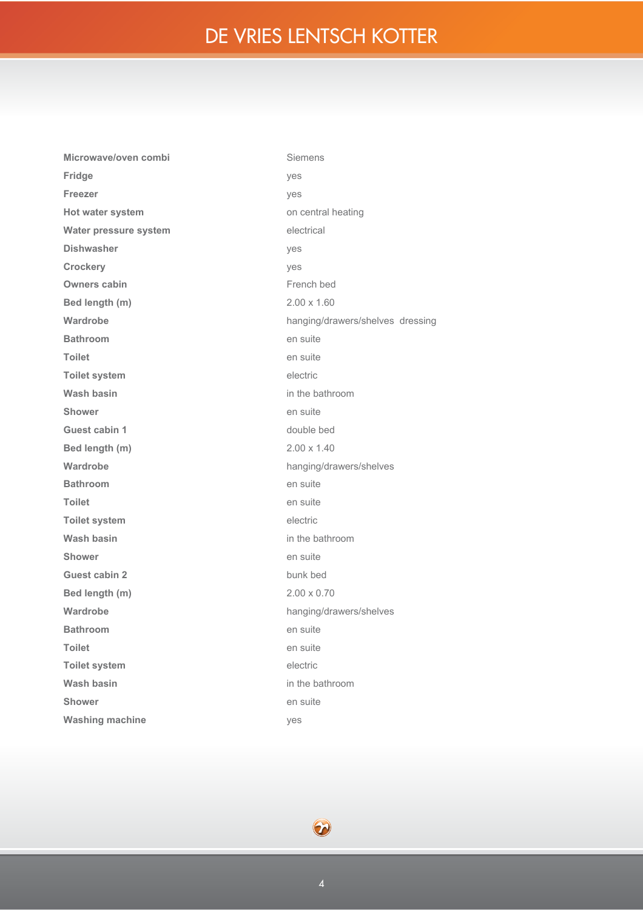| Microwave/oven combi    | Siemens                          |
|-------------------------|----------------------------------|
| Fridge                  | yes                              |
| Freezer                 | yes                              |
| <b>Hot water system</b> | on central heating               |
| Water pressure system   | electrical                       |
| <b>Dishwasher</b>       | yes                              |
| <b>Crockery</b>         | yes                              |
| Owners cabin            | French bed                       |
| Bed length (m)          | $2.00 \times 1.60$               |
| Wardrobe                | hanging/drawers/shelves dressing |
| <b>Bathroom</b>         | en suite                         |
| <b>Toilet</b>           | en suite                         |
| <b>Toilet system</b>    | electric                         |
| Wash basin              | in the bathroom                  |
| <b>Shower</b>           | en suite                         |
| Guest cabin 1           | double bed                       |
| Bed length (m)          | $2.00 \times 1.40$               |
| Wardrobe                | hanging/drawers/shelves          |
| <b>Bathroom</b>         | en suite                         |
| <b>Toilet</b>           | en suite                         |
| <b>Toilet system</b>    | electric                         |
| Wash basin              | in the bathroom                  |
| <b>Shower</b>           | en suite                         |
| Guest cabin 2           | bunk bed                         |
| Bed length (m)          | $2.00 \times 0.70$               |
| Wardrobe                | hanging/drawers/shelves          |
| <b>Bathroom</b>         | en suite                         |
| <b>Toilet</b>           | en suite                         |
| <b>Toilet system</b>    | electric                         |
| Wash basin              | in the bathroom                  |
| <b>Shower</b>           | en suite                         |
| <b>Washing machine</b>  | yes                              |

 $\odot$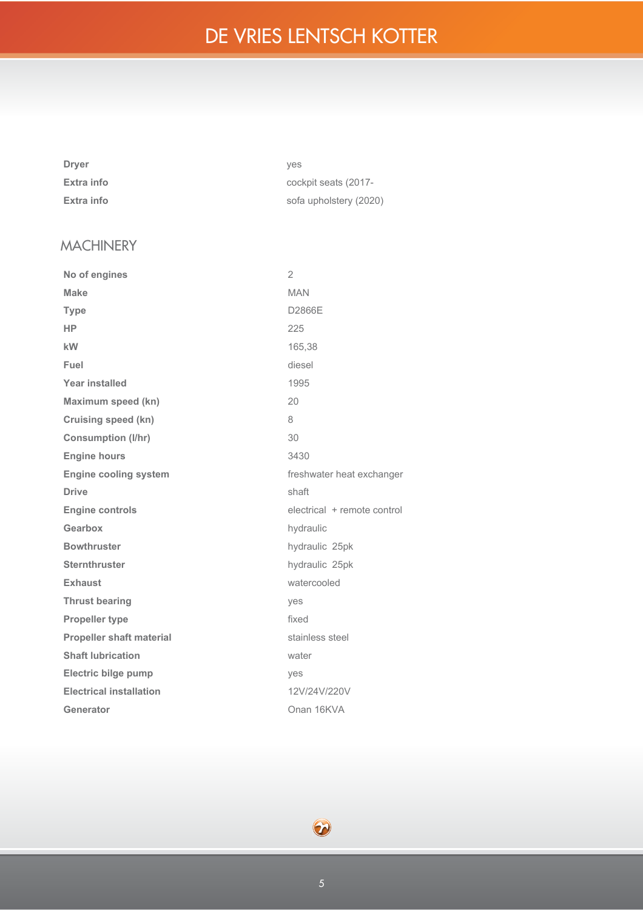| Dryer      | ves                    |
|------------|------------------------|
| Extra info | cockpit seats (2017-   |
| Extra info | sofa upholstery (2020) |

### **MACHINERY**

| No of engines                   | $\overline{2}$              |
|---------------------------------|-----------------------------|
| <b>Make</b>                     | <b>MAN</b>                  |
| <b>Type</b>                     | D2866E                      |
| <b>HP</b>                       | 225                         |
| kW                              | 165,38                      |
| Fuel                            | diesel                      |
| Year installed                  | 1995                        |
| Maximum speed (kn)              | 20                          |
| <b>Cruising speed (kn)</b>      | 8                           |
| <b>Consumption (I/hr)</b>       | 30                          |
| <b>Engine hours</b>             | 3430                        |
| <b>Engine cooling system</b>    | freshwater heat exchanger   |
| <b>Drive</b>                    | shaft                       |
| <b>Engine controls</b>          | electrical + remote control |
| Gearbox                         | hydraulic                   |
| <b>Bowthruster</b>              | hydraulic 25pk              |
| <b>Sternthruster</b>            | hydraulic 25pk              |
| <b>Exhaust</b>                  | watercooled                 |
| <b>Thrust bearing</b>           | yes                         |
| <b>Propeller type</b>           | fixed                       |
| <b>Propeller shaft material</b> | stainless steel             |
| <b>Shaft lubrication</b>        | water                       |
| <b>Electric bilge pump</b>      | yes                         |
| <b>Electrical installation</b>  | 12V/24V/220V                |
| Generator                       | Onan 16KVA                  |

 $\bigodot$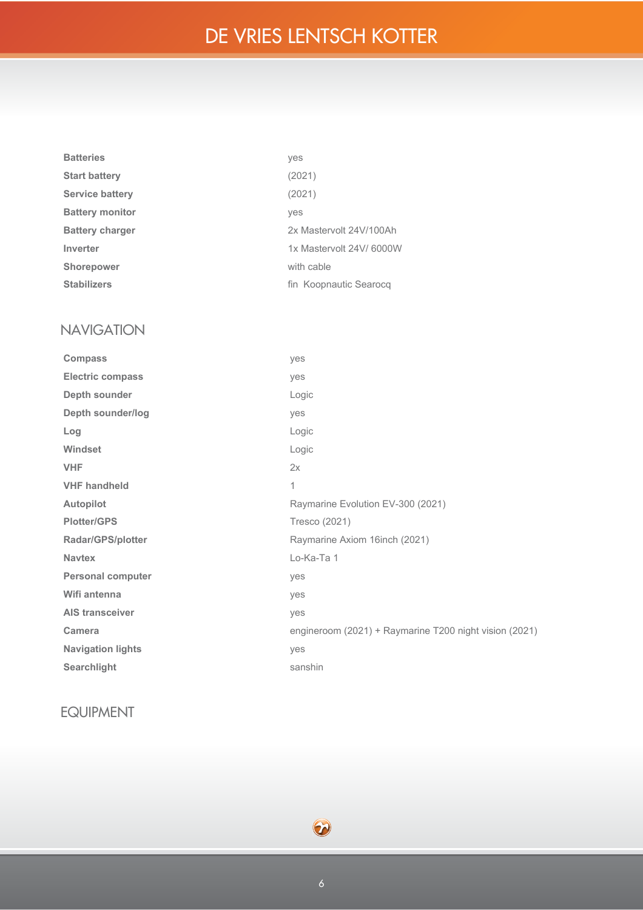| <b>Batteries</b>       | yes                      |
|------------------------|--------------------------|
| <b>Start battery</b>   | (2021)                   |
| <b>Service battery</b> | (2021)                   |
| <b>Battery monitor</b> | yes                      |
| <b>Battery charger</b> | 2x Mastervolt 24 V/100Ah |
| Inverter               | 1x Mastervolt 24V/6000W  |
| Shorepower             | with cable               |
| <b>Stabilizers</b>     | fin Koopnautic Searocg   |

#### **NAVIGATION**

| <b>Compass</b>           | yes                                                    |
|--------------------------|--------------------------------------------------------|
| <b>Electric compass</b>  | yes                                                    |
| Depth sounder            | Logic                                                  |
| <b>Depth sounder/log</b> | yes                                                    |
| Log                      | Logic                                                  |
| Windset                  | Logic                                                  |
| <b>VHF</b>               | 2x                                                     |
| <b>VHF</b> handheld      | 1                                                      |
| <b>Autopilot</b>         | Raymarine Evolution EV-300 (2021)                      |
| <b>Plotter/GPS</b>       | <b>Tresco (2021)</b>                                   |
| Radar/GPS/plotter        | Raymarine Axiom 16inch (2021)                          |
| <b>Navtex</b>            | Lo-Ka-Ta 1                                             |
| <b>Personal computer</b> | yes                                                    |
| Wifi antenna             | yes                                                    |
| <b>AIS transceiver</b>   | yes                                                    |
| Camera                   | engineroom (2021) + Raymarine T200 night vision (2021) |
| <b>Navigation lights</b> | yes                                                    |
| Searchlight              | sanshin                                                |

### **EQUIPMENT**

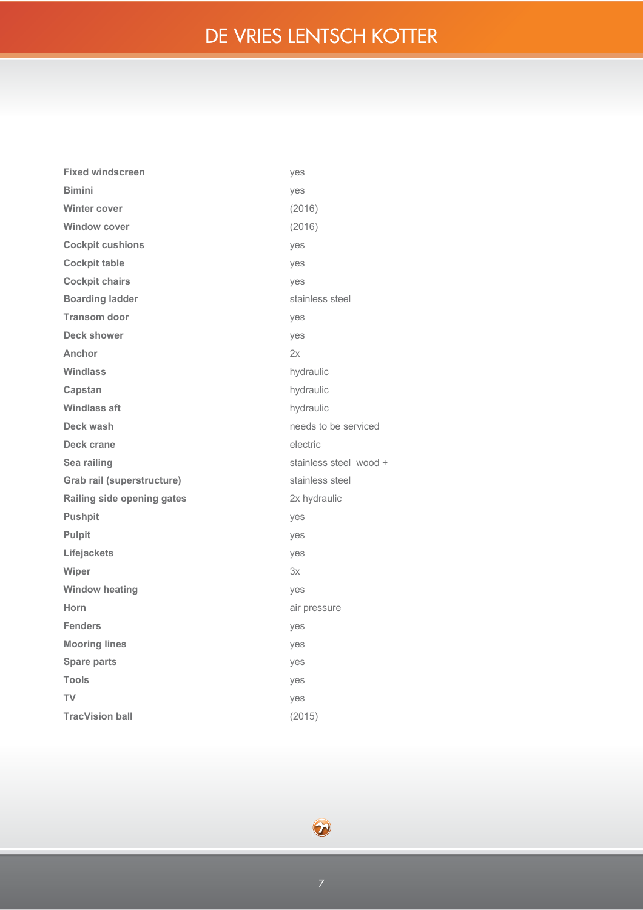| <b>Fixed windscreen</b>    | yes                    |
|----------------------------|------------------------|
| <b>Bimini</b>              | yes                    |
| <b>Winter cover</b>        | (2016)                 |
| <b>Window cover</b>        | (2016)                 |
| <b>Cockpit cushions</b>    | yes                    |
| <b>Cockpit table</b>       | yes                    |
| <b>Cockpit chairs</b>      | yes                    |
| <b>Boarding ladder</b>     | stainless steel        |
| <b>Transom door</b>        | yes                    |
| <b>Deck shower</b>         | yes                    |
| <b>Anchor</b>              | 2x                     |
| <b>Windlass</b>            | hydraulic              |
| Capstan                    | hydraulic              |
| <b>Windlass aft</b>        | hydraulic              |
| Deck wash                  | needs to be serviced   |
| Deck crane                 | electric               |
| Sea railing                | stainless steel wood + |
| Grab rail (superstructure) | stainless steel        |
| Railing side opening gates | 2x hydraulic           |
| <b>Pushpit</b>             | yes                    |
| <b>Pulpit</b>              | yes                    |
| Lifejackets                | yes                    |
| Wiper                      | 3x                     |
| <b>Window heating</b>      | yes                    |
| Horn                       | air pressure           |
| <b>Fenders</b>             | yes                    |
| <b>Mooring lines</b>       | yes                    |
| Spare parts                | yes                    |
| <b>Tools</b>               | yes                    |
| TV                         | yes                    |
| <b>TracVision ball</b>     | (2015)                 |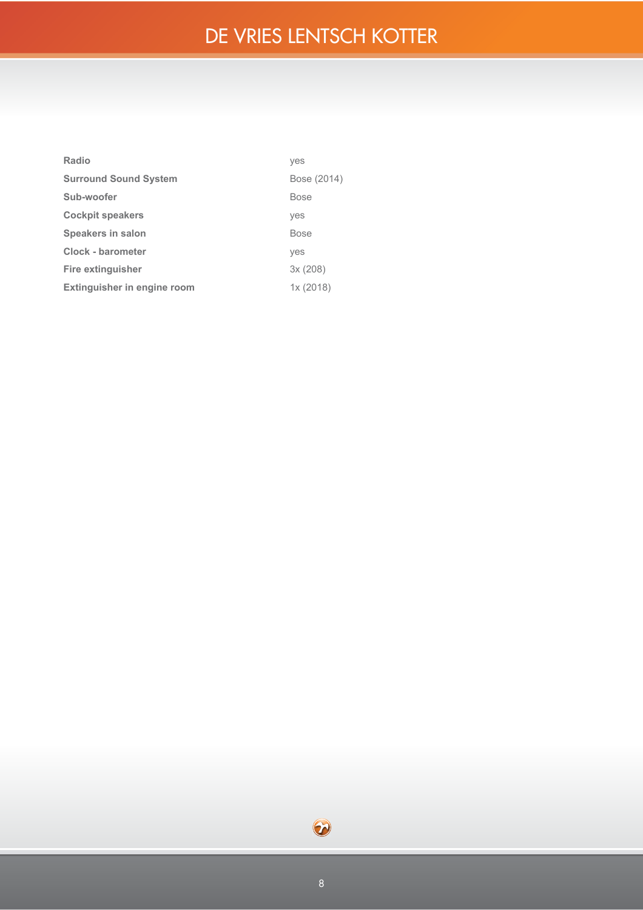| Radio                        | yes         |
|------------------------------|-------------|
| <b>Surround Sound System</b> | Bose (2014) |
| Sub-woofer                   | <b>Bose</b> |
| <b>Cockpit speakers</b>      | yes         |
| Speakers in salon            | <b>Bose</b> |
| Clock - barometer            | ves         |
| <b>Fire extinguisher</b>     | 3x(208)     |
| Extinguisher in engine room  | 1x(2018)    |

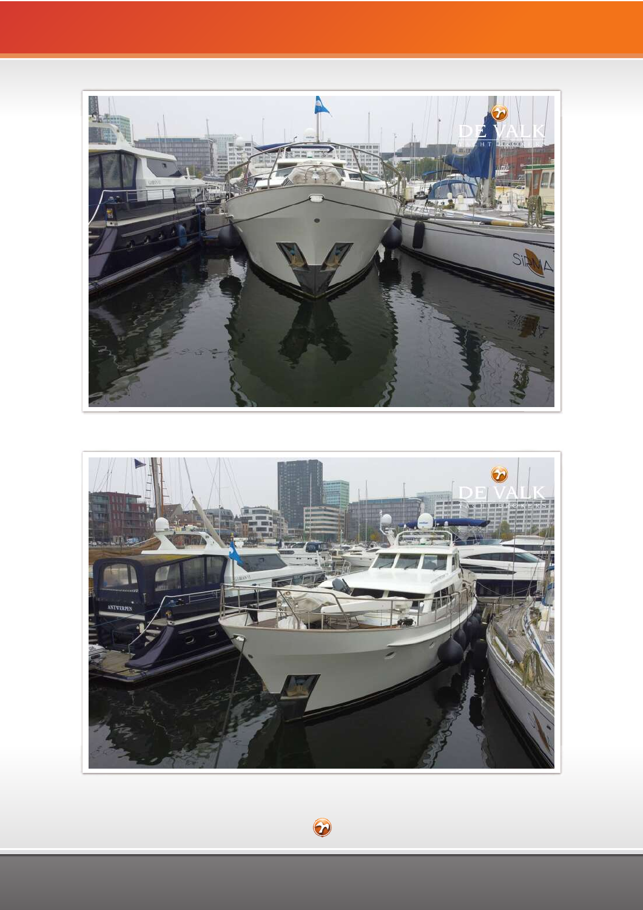# $'(95,(6)/(1768 + .277(5$



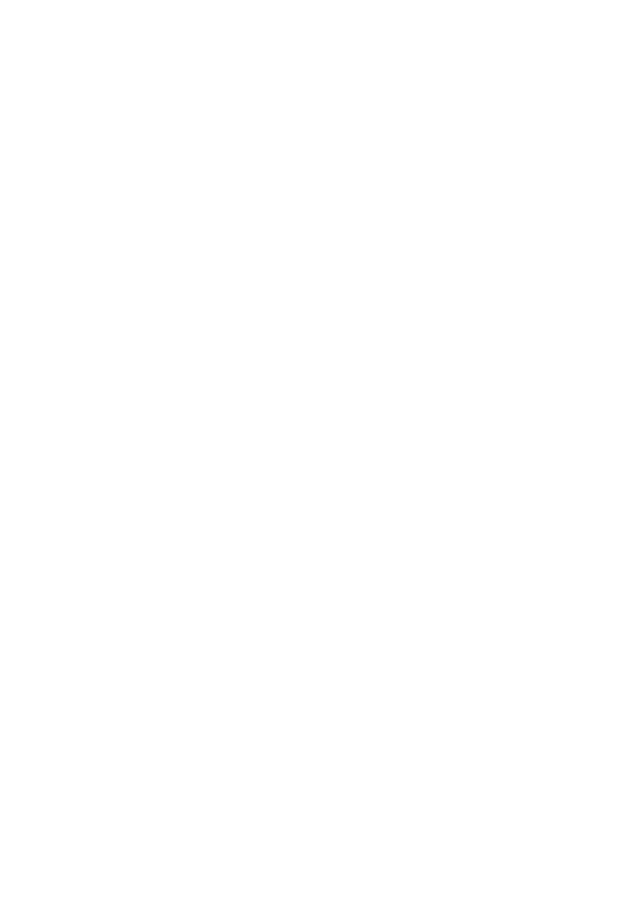| ---- |  |
|------|--|
|      |  |
|      |  |
|      |  |
|      |  |
|      |  |
|      |  |
|      |  |
|      |  |
|      |  |
|      |  |
|      |  |
|      |  |
|      |  |
|      |  |
|      |  |
|      |  |
|      |  |
|      |  |
|      |  |
|      |  |
|      |  |
|      |  |
|      |  |
|      |  |
|      |  |
|      |  |
|      |  |
|      |  |
|      |  |
|      |  |
|      |  |
|      |  |
|      |  |
|      |  |
|      |  |
|      |  |
|      |  |
|      |  |
|      |  |
|      |  |
|      |  |
|      |  |
|      |  |
|      |  |
|      |  |
|      |  |
|      |  |
|      |  |
|      |  |
|      |  |
|      |  |
|      |  |
|      |  |
|      |  |
|      |  |
|      |  |
|      |  |
|      |  |

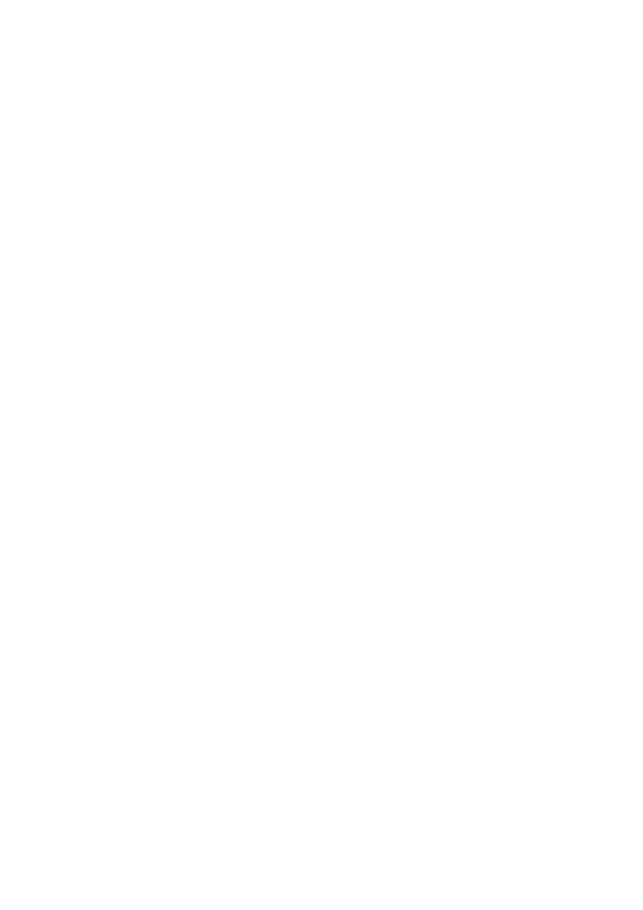| ---- |  |
|------|--|
|      |  |
|      |  |
|      |  |
|      |  |
|      |  |
|      |  |
|      |  |
|      |  |
|      |  |
|      |  |
|      |  |
|      |  |
|      |  |
|      |  |
|      |  |
|      |  |
|      |  |
|      |  |
|      |  |
|      |  |
|      |  |
|      |  |
|      |  |
|      |  |
|      |  |
|      |  |
|      |  |
|      |  |
|      |  |
|      |  |
|      |  |
|      |  |
|      |  |
|      |  |
|      |  |
|      |  |
|      |  |
|      |  |
|      |  |
|      |  |
|      |  |
|      |  |
|      |  |
|      |  |
|      |  |
|      |  |
|      |  |
|      |  |
|      |  |
|      |  |
|      |  |
|      |  |
|      |  |
|      |  |
|      |  |
|      |  |
|      |  |
|      |  |

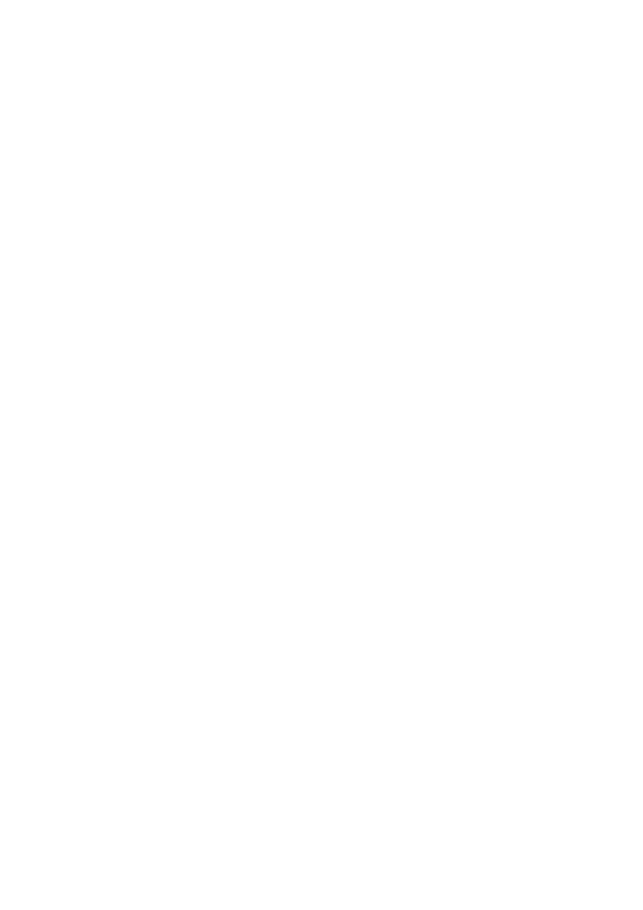| ---- |  |
|------|--|
|      |  |
|      |  |
|      |  |
|      |  |
|      |  |
|      |  |
|      |  |
|      |  |
|      |  |
|      |  |
|      |  |
|      |  |
|      |  |
|      |  |
|      |  |
|      |  |
|      |  |
|      |  |
|      |  |
|      |  |
|      |  |
|      |  |
|      |  |
|      |  |
|      |  |
|      |  |
|      |  |
|      |  |
|      |  |
|      |  |
|      |  |
|      |  |
|      |  |
|      |  |
|      |  |
|      |  |
|      |  |
|      |  |
|      |  |
|      |  |
|      |  |
|      |  |
|      |  |
|      |  |
|      |  |
|      |  |
|      |  |
|      |  |
|      |  |
|      |  |
|      |  |
|      |  |
|      |  |
|      |  |
|      |  |
|      |  |
|      |  |
|      |  |

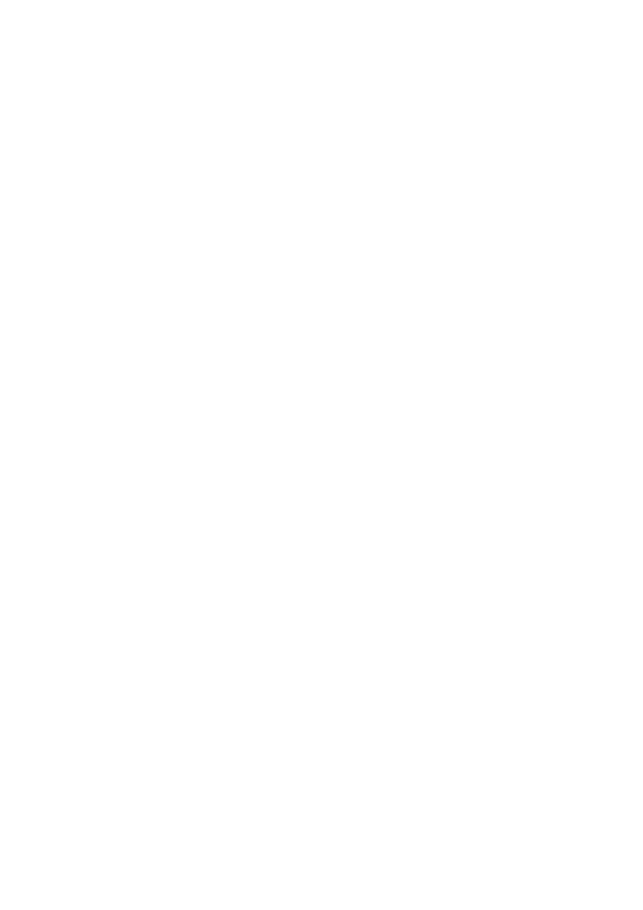| ---- |  |
|------|--|
|      |  |
|      |  |
|      |  |
|      |  |
|      |  |
|      |  |
|      |  |
|      |  |
|      |  |
|      |  |
|      |  |
|      |  |
|      |  |
|      |  |
|      |  |
|      |  |
|      |  |
|      |  |
|      |  |
|      |  |
|      |  |
|      |  |
|      |  |
|      |  |
|      |  |
|      |  |
|      |  |
|      |  |
|      |  |
|      |  |
|      |  |
|      |  |
|      |  |
|      |  |
|      |  |
|      |  |
|      |  |
|      |  |
|      |  |
|      |  |
|      |  |
|      |  |
|      |  |
|      |  |
|      |  |
|      |  |
|      |  |
|      |  |
|      |  |
|      |  |
|      |  |
|      |  |
|      |  |
|      |  |
|      |  |
|      |  |
|      |  |
|      |  |

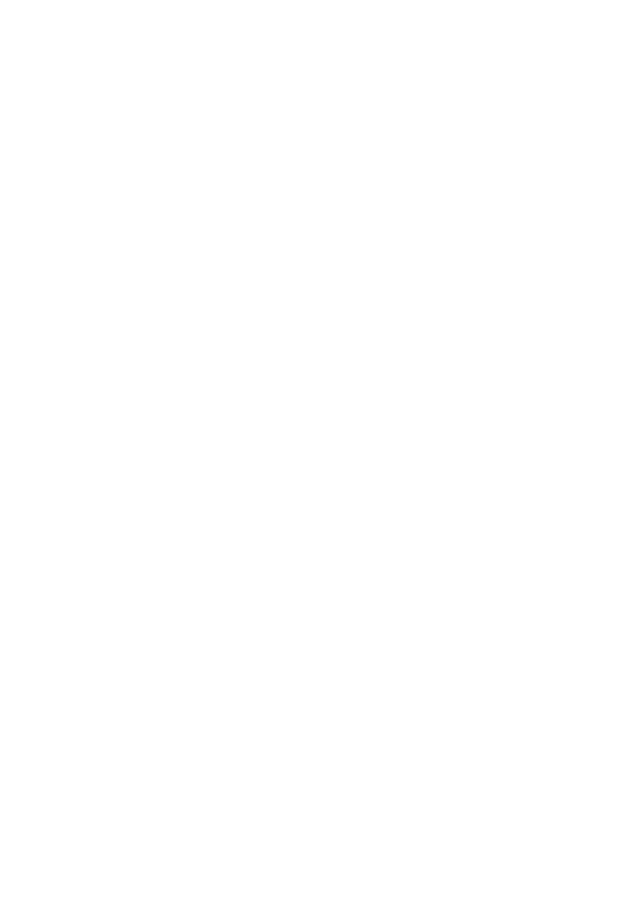| ---- |  |
|------|--|
|      |  |
|      |  |
|      |  |
|      |  |
|      |  |
|      |  |
|      |  |
|      |  |
|      |  |
|      |  |
|      |  |
|      |  |
|      |  |
|      |  |
|      |  |
|      |  |
|      |  |
|      |  |
|      |  |
|      |  |
|      |  |
|      |  |
|      |  |
|      |  |
|      |  |
|      |  |
|      |  |
|      |  |
|      |  |
|      |  |
|      |  |
|      |  |
|      |  |
|      |  |
|      |  |
|      |  |
|      |  |
|      |  |
|      |  |
|      |  |
|      |  |
|      |  |
|      |  |
|      |  |
|      |  |
|      |  |
|      |  |
|      |  |
|      |  |
|      |  |
|      |  |
|      |  |
|      |  |
|      |  |
|      |  |
|      |  |
|      |  |
|      |  |

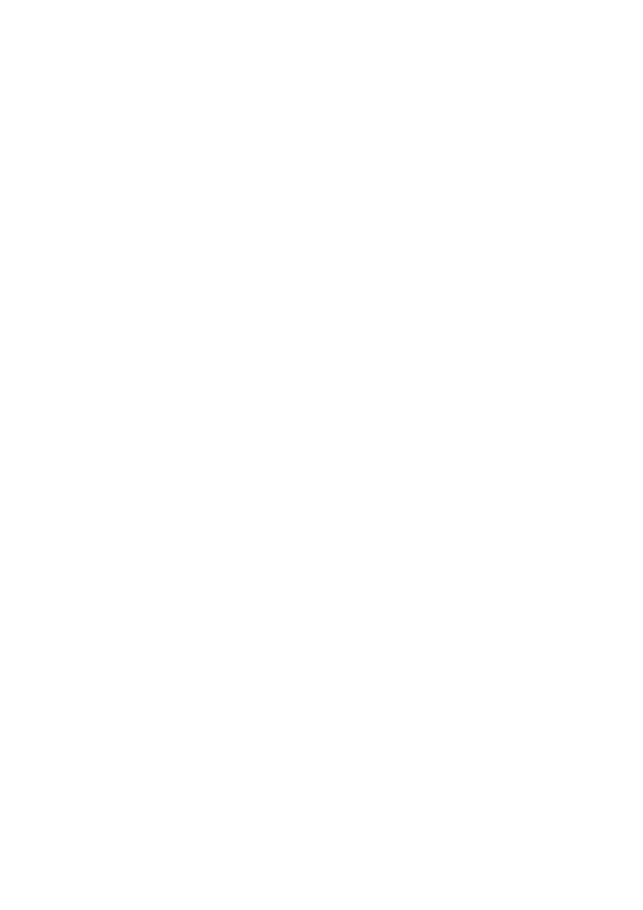| ---- |  |
|------|--|
|      |  |
|      |  |
|      |  |
|      |  |
|      |  |
|      |  |
|      |  |
|      |  |
|      |  |
|      |  |
|      |  |
|      |  |
|      |  |
|      |  |
|      |  |
|      |  |
|      |  |
|      |  |
|      |  |
|      |  |
|      |  |
|      |  |
|      |  |
|      |  |
|      |  |
|      |  |
|      |  |
|      |  |
|      |  |
|      |  |
|      |  |
|      |  |
|      |  |
|      |  |
|      |  |
|      |  |
|      |  |
|      |  |
|      |  |
|      |  |
|      |  |
|      |  |
|      |  |
|      |  |
|      |  |
|      |  |
|      |  |
|      |  |
|      |  |
|      |  |
|      |  |
|      |  |
|      |  |
|      |  |
|      |  |
|      |  |
|      |  |
|      |  |

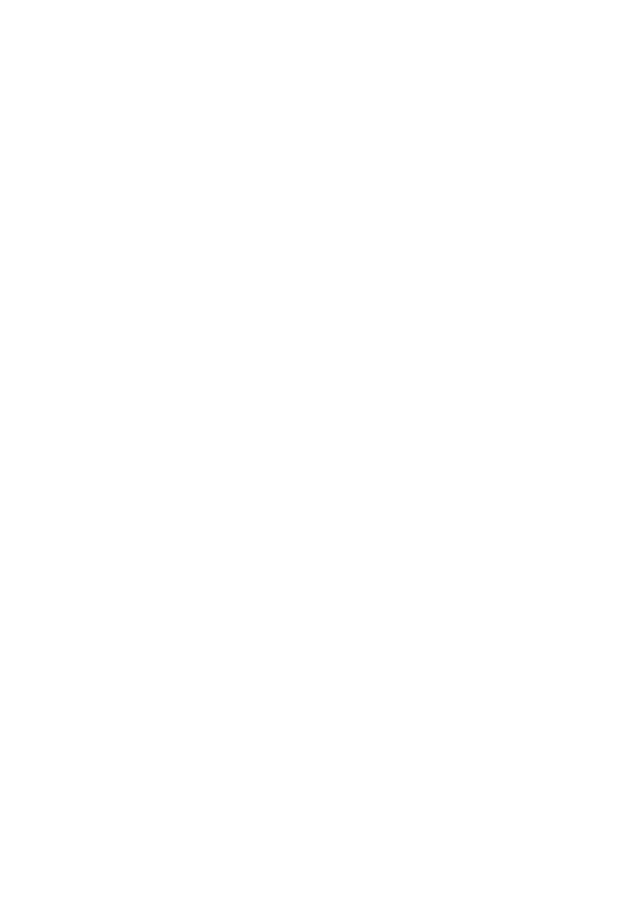| ---- |  |
|------|--|
|      |  |
|      |  |
|      |  |
|      |  |
|      |  |
|      |  |
|      |  |
|      |  |
|      |  |
|      |  |
|      |  |
|      |  |
|      |  |
|      |  |
|      |  |
|      |  |
|      |  |
|      |  |
|      |  |
|      |  |
|      |  |
|      |  |
|      |  |
|      |  |
|      |  |
|      |  |
|      |  |
|      |  |
|      |  |
|      |  |
|      |  |
|      |  |
|      |  |
|      |  |
|      |  |
|      |  |
|      |  |
|      |  |
|      |  |
|      |  |
|      |  |
|      |  |
|      |  |
|      |  |
|      |  |
|      |  |
|      |  |
|      |  |
|      |  |
|      |  |
|      |  |
|      |  |
|      |  |
|      |  |
|      |  |
|      |  |
|      |  |
|      |  |

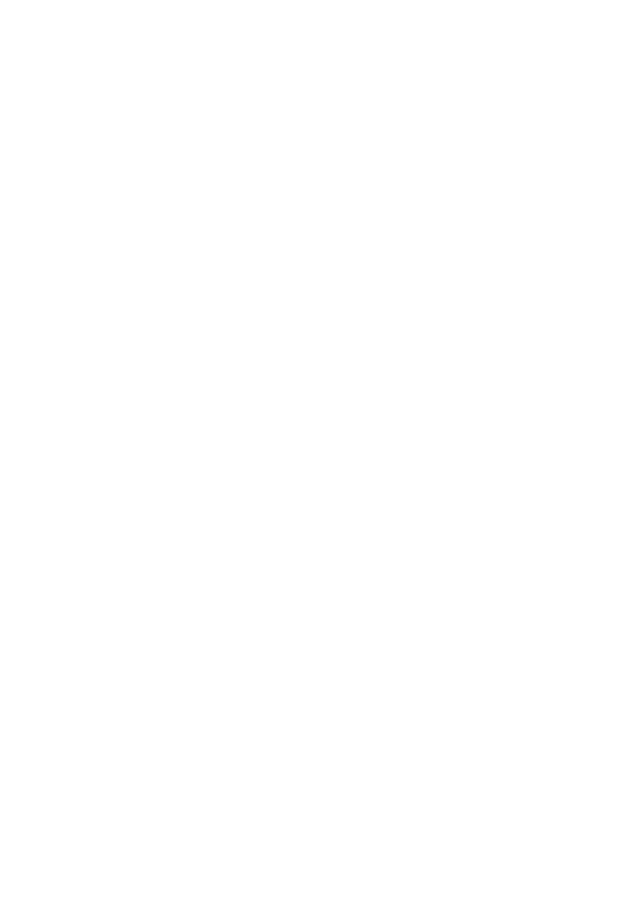| ---- |  |
|------|--|
|      |  |
|      |  |
|      |  |
|      |  |
|      |  |
|      |  |
|      |  |
|      |  |
|      |  |
|      |  |
|      |  |
|      |  |
|      |  |
|      |  |
|      |  |
|      |  |
|      |  |
|      |  |
|      |  |
|      |  |
|      |  |
|      |  |
|      |  |
|      |  |
|      |  |
|      |  |
|      |  |
|      |  |
|      |  |
|      |  |
|      |  |
|      |  |
|      |  |
|      |  |
|      |  |
|      |  |
|      |  |
|      |  |
|      |  |
|      |  |
|      |  |
|      |  |
|      |  |
|      |  |
|      |  |
|      |  |
|      |  |
|      |  |
|      |  |
|      |  |
|      |  |
|      |  |
|      |  |
|      |  |
|      |  |
|      |  |
|      |  |
|      |  |

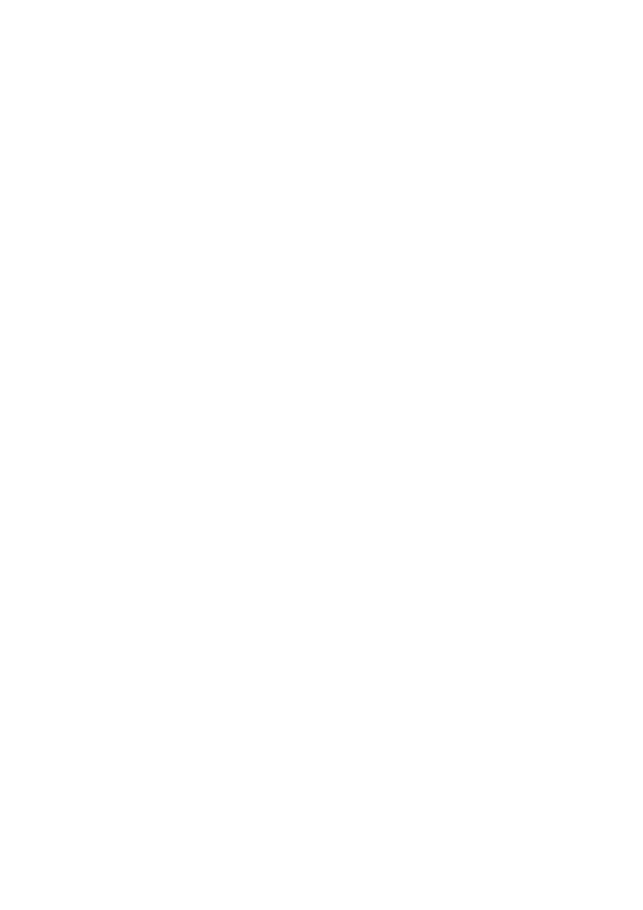| ---- |  |
|------|--|
|      |  |
|      |  |
|      |  |
|      |  |
|      |  |
|      |  |
|      |  |
|      |  |
|      |  |
|      |  |
|      |  |
|      |  |
|      |  |
|      |  |
|      |  |
|      |  |
|      |  |
|      |  |
|      |  |
|      |  |
|      |  |
|      |  |
|      |  |
|      |  |
|      |  |
|      |  |
|      |  |
|      |  |
|      |  |
|      |  |
|      |  |
|      |  |
|      |  |
|      |  |
|      |  |
|      |  |
|      |  |
|      |  |
|      |  |
|      |  |
|      |  |
|      |  |
|      |  |
|      |  |
|      |  |
|      |  |
|      |  |
|      |  |
|      |  |
|      |  |
|      |  |
|      |  |
|      |  |
|      |  |
|      |  |
|      |  |
|      |  |
|      |  |

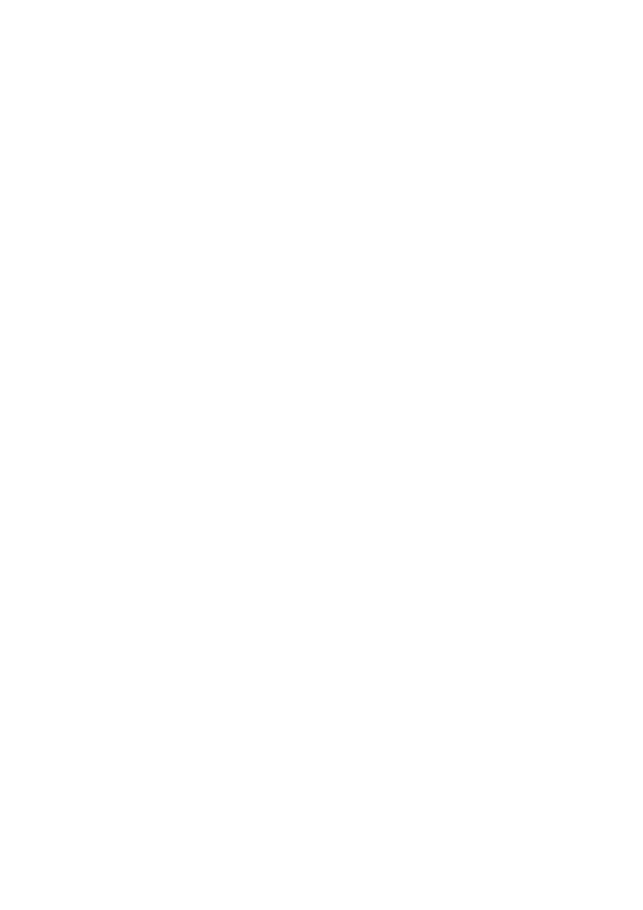| ---- |  |
|------|--|
|      |  |
|      |  |
|      |  |
|      |  |
|      |  |
|      |  |
|      |  |
|      |  |
|      |  |
|      |  |
|      |  |
|      |  |
|      |  |
|      |  |
|      |  |
|      |  |
|      |  |
|      |  |
|      |  |
|      |  |
|      |  |
|      |  |
|      |  |
|      |  |
|      |  |
|      |  |
|      |  |
|      |  |
|      |  |
|      |  |
|      |  |
|      |  |
|      |  |
|      |  |
|      |  |
|      |  |
|      |  |
|      |  |
|      |  |
|      |  |
|      |  |
|      |  |
|      |  |
|      |  |
|      |  |
|      |  |
|      |  |
|      |  |
|      |  |
|      |  |
|      |  |
|      |  |
|      |  |
|      |  |
|      |  |
|      |  |
|      |  |
|      |  |

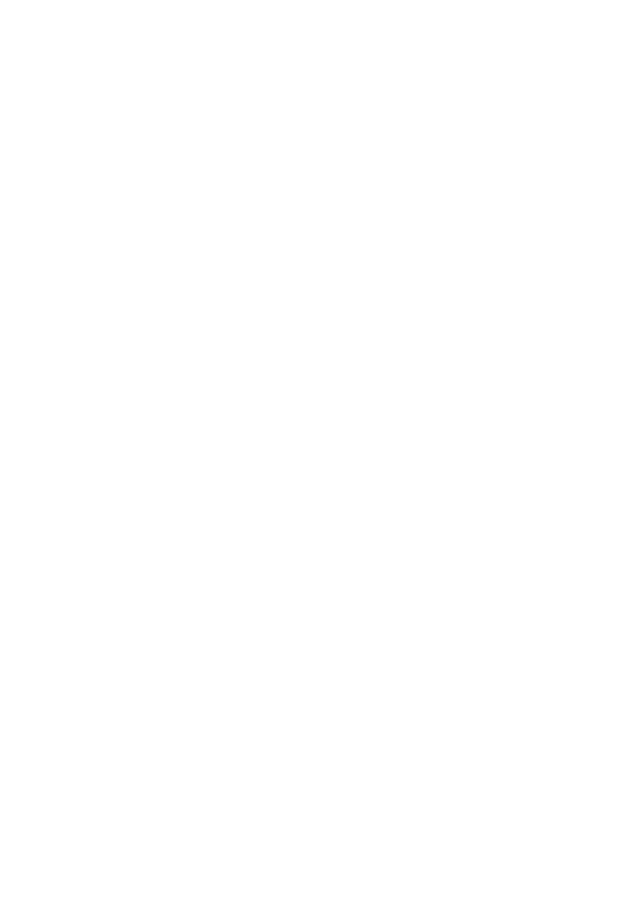| ---- |  |
|------|--|
|      |  |
|      |  |
|      |  |
|      |  |
|      |  |
|      |  |
|      |  |
|      |  |
|      |  |
|      |  |
|      |  |
|      |  |
|      |  |
|      |  |
|      |  |
|      |  |
|      |  |
|      |  |
|      |  |
|      |  |
|      |  |
|      |  |
|      |  |
|      |  |
|      |  |
|      |  |
|      |  |
|      |  |
|      |  |
|      |  |
|      |  |
|      |  |
|      |  |
|      |  |
|      |  |
|      |  |
|      |  |
|      |  |
|      |  |
|      |  |
|      |  |
|      |  |
|      |  |
|      |  |
|      |  |
|      |  |
|      |  |
|      |  |
|      |  |
|      |  |
|      |  |
|      |  |
|      |  |
|      |  |
|      |  |
|      |  |
|      |  |
|      |  |

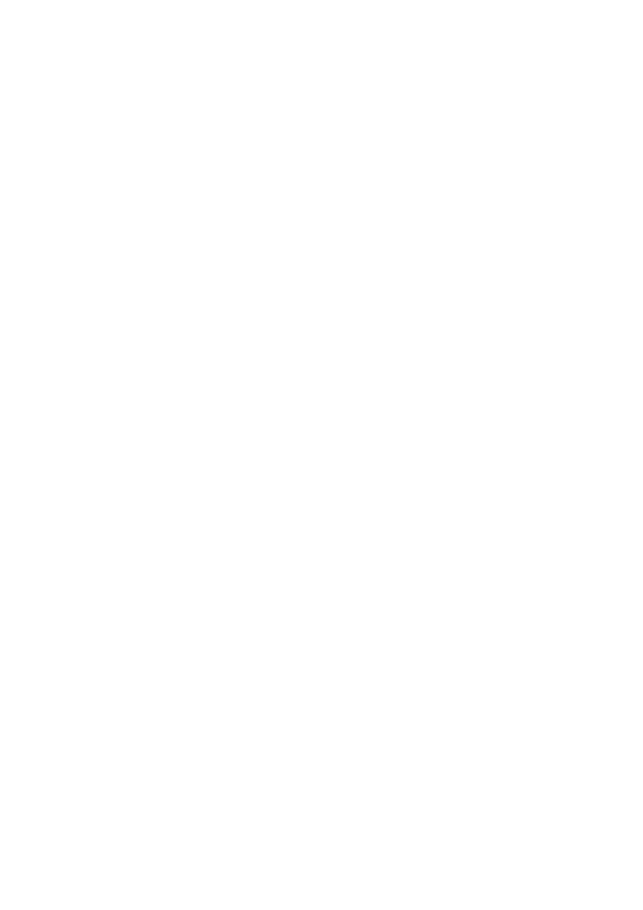| ---- |  |
|------|--|
|      |  |
|      |  |
|      |  |
|      |  |
|      |  |
|      |  |
|      |  |
|      |  |
|      |  |
|      |  |
|      |  |
|      |  |
|      |  |
|      |  |
|      |  |
|      |  |
|      |  |
|      |  |
|      |  |
|      |  |
|      |  |
|      |  |
|      |  |
|      |  |
|      |  |
|      |  |
|      |  |
|      |  |
|      |  |
|      |  |
|      |  |
|      |  |
|      |  |
|      |  |
|      |  |
|      |  |
|      |  |
|      |  |
|      |  |
|      |  |
|      |  |
|      |  |
|      |  |
|      |  |
|      |  |
|      |  |
|      |  |
|      |  |
|      |  |
|      |  |
|      |  |
|      |  |
|      |  |
|      |  |
|      |  |
|      |  |
|      |  |
|      |  |

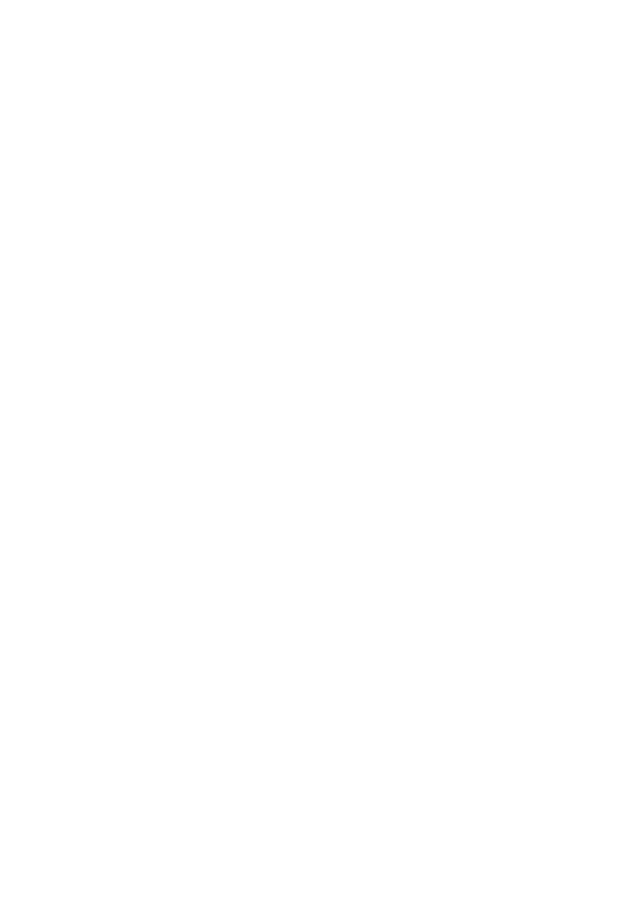| ---- |  |
|------|--|
|      |  |
|      |  |
|      |  |
|      |  |
|      |  |
|      |  |
|      |  |
|      |  |
|      |  |
|      |  |
|      |  |
|      |  |
|      |  |
|      |  |
|      |  |
|      |  |
|      |  |
|      |  |
|      |  |
|      |  |
|      |  |
|      |  |
|      |  |
|      |  |
|      |  |
|      |  |
|      |  |
|      |  |
|      |  |
|      |  |
|      |  |
|      |  |
|      |  |
|      |  |
|      |  |
|      |  |
|      |  |
|      |  |
|      |  |
|      |  |
|      |  |
|      |  |
|      |  |
|      |  |
|      |  |
|      |  |
|      |  |
|      |  |
|      |  |
|      |  |
|      |  |
|      |  |
|      |  |
|      |  |
|      |  |
|      |  |
|      |  |
|      |  |

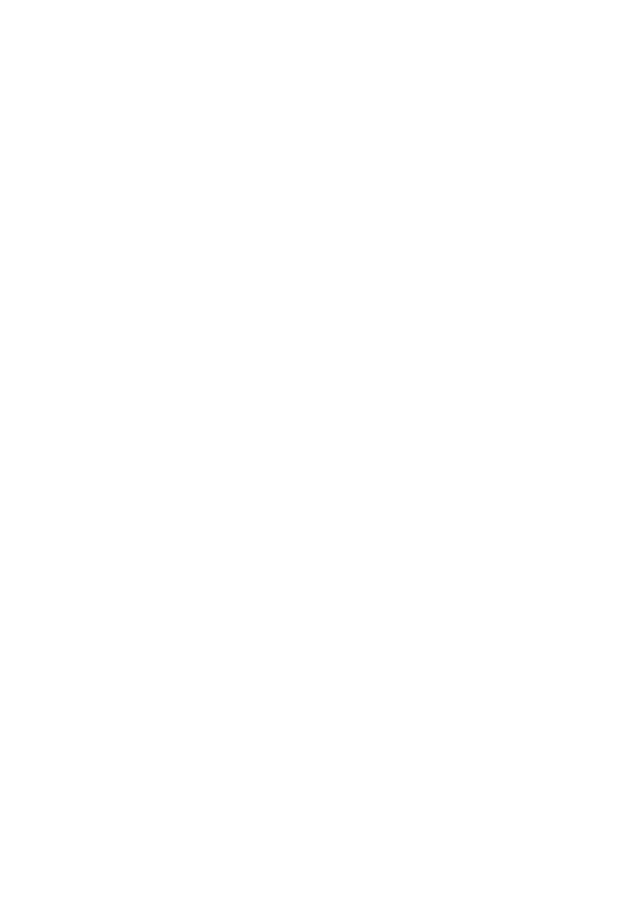| ---- |  |
|------|--|
|      |  |
|      |  |
|      |  |
|      |  |
|      |  |
|      |  |
|      |  |
|      |  |
|      |  |
|      |  |
|      |  |
|      |  |
|      |  |
|      |  |
|      |  |
|      |  |
|      |  |
|      |  |
|      |  |
|      |  |
|      |  |
|      |  |
|      |  |
|      |  |
|      |  |
|      |  |
|      |  |
|      |  |
|      |  |
|      |  |
|      |  |
|      |  |
|      |  |
|      |  |
|      |  |
|      |  |
|      |  |
|      |  |
|      |  |
|      |  |
|      |  |
|      |  |
|      |  |
|      |  |
|      |  |
|      |  |
|      |  |
|      |  |
|      |  |
|      |  |
|      |  |
|      |  |
|      |  |
|      |  |
|      |  |
|      |  |
|      |  |
|      |  |

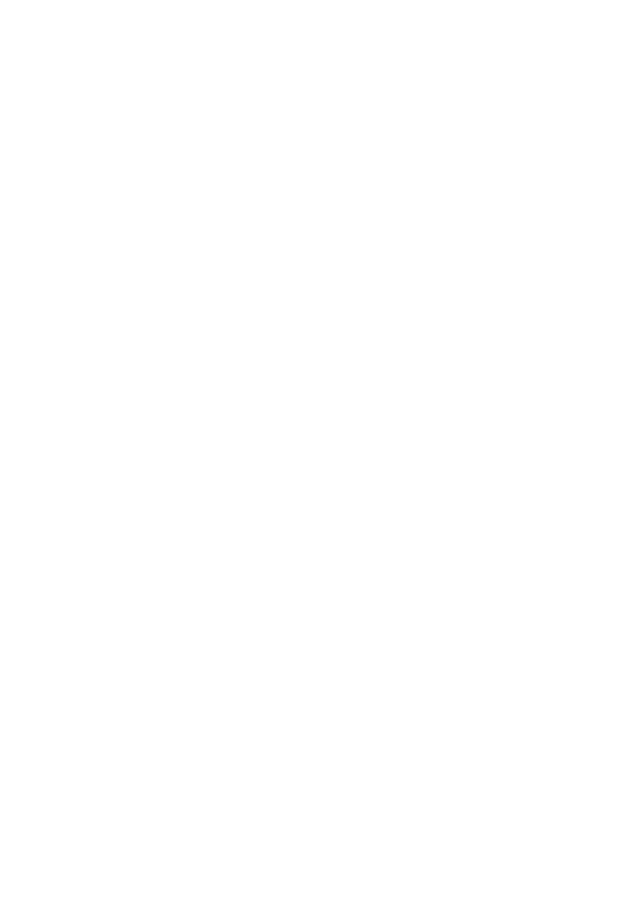| ---- |  |
|------|--|
|      |  |
|      |  |
|      |  |
|      |  |
|      |  |
|      |  |
|      |  |
|      |  |
|      |  |
|      |  |
|      |  |
|      |  |
|      |  |
|      |  |
|      |  |
|      |  |
|      |  |
|      |  |
|      |  |
|      |  |
|      |  |
|      |  |
|      |  |
|      |  |
|      |  |
|      |  |
|      |  |
|      |  |
|      |  |
|      |  |
|      |  |
|      |  |
|      |  |
|      |  |
|      |  |
|      |  |
|      |  |
|      |  |
|      |  |
|      |  |
|      |  |
|      |  |
|      |  |
|      |  |
|      |  |
|      |  |
|      |  |
|      |  |
|      |  |
|      |  |
|      |  |
|      |  |
|      |  |
|      |  |
|      |  |
|      |  |
|      |  |
|      |  |

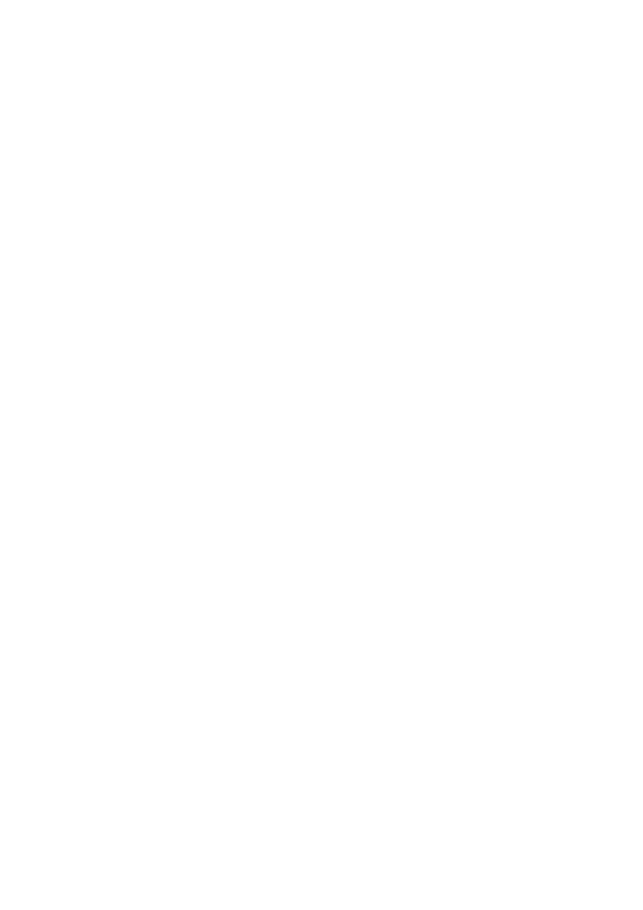| ---- |  |
|------|--|
|      |  |
|      |  |
|      |  |
|      |  |
|      |  |
|      |  |
|      |  |
|      |  |
|      |  |
|      |  |
|      |  |
|      |  |
|      |  |
|      |  |
|      |  |
|      |  |
|      |  |
|      |  |
|      |  |
|      |  |
|      |  |
|      |  |
|      |  |
|      |  |
|      |  |
|      |  |
|      |  |
|      |  |
|      |  |
|      |  |
|      |  |
|      |  |
|      |  |
|      |  |
|      |  |
|      |  |
|      |  |
|      |  |
|      |  |
|      |  |
|      |  |
|      |  |
|      |  |
|      |  |
|      |  |
|      |  |
|      |  |
|      |  |
|      |  |
|      |  |
|      |  |
|      |  |
|      |  |
|      |  |
|      |  |
|      |  |
|      |  |
|      |  |

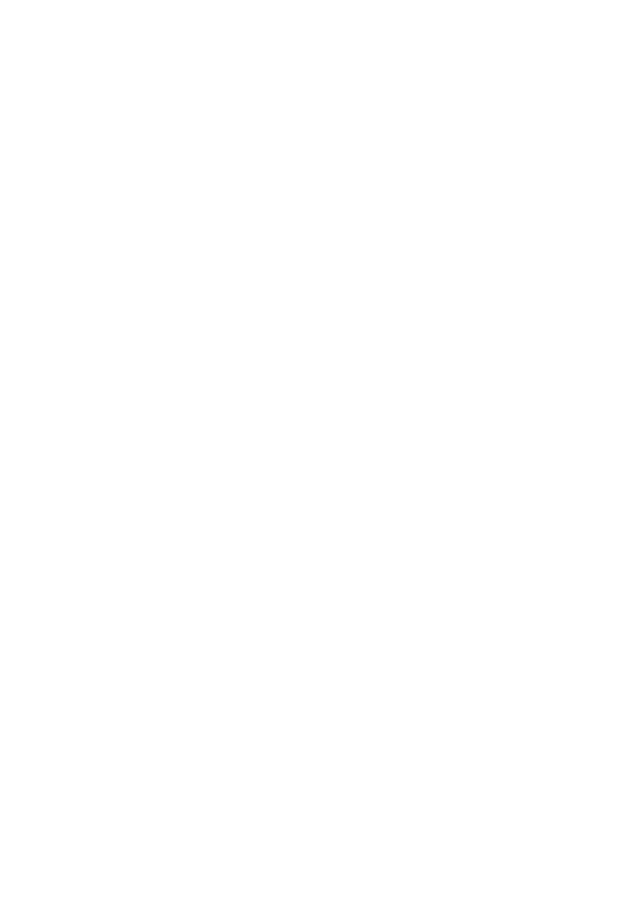| ---- |  |
|------|--|
|      |  |
|      |  |
|      |  |
|      |  |
|      |  |
|      |  |
|      |  |
|      |  |
|      |  |
|      |  |
|      |  |
|      |  |
|      |  |
|      |  |
|      |  |
|      |  |
|      |  |
|      |  |
|      |  |
|      |  |
|      |  |
|      |  |
|      |  |
|      |  |
|      |  |
|      |  |
|      |  |
|      |  |
|      |  |
|      |  |
|      |  |
|      |  |
|      |  |
|      |  |
|      |  |
|      |  |
|      |  |
|      |  |
|      |  |
|      |  |
|      |  |
|      |  |
|      |  |
|      |  |
|      |  |
|      |  |
|      |  |
|      |  |
|      |  |
|      |  |
|      |  |
|      |  |
|      |  |
|      |  |
|      |  |
|      |  |
|      |  |
|      |  |

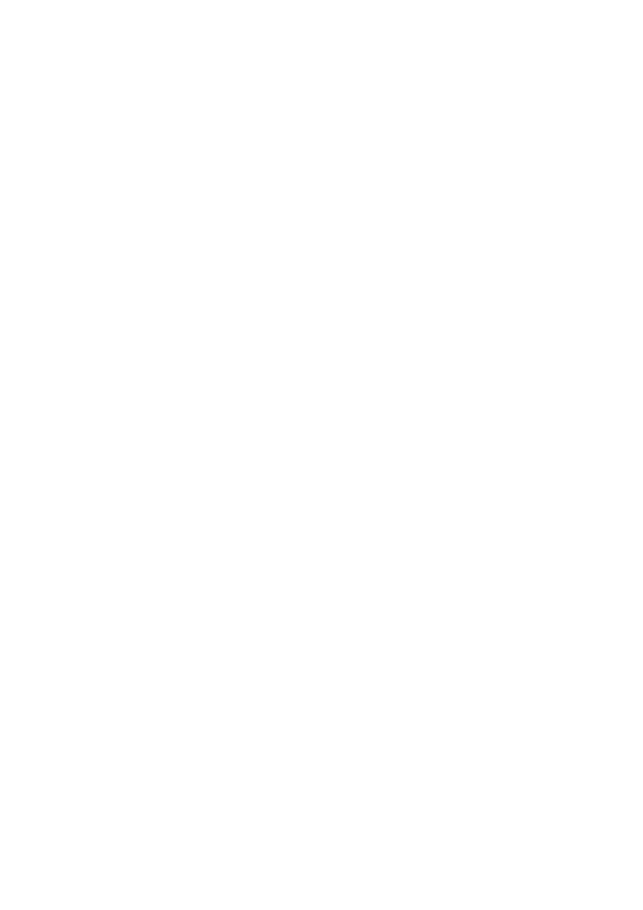| ---- |  |
|------|--|
|      |  |
|      |  |
|      |  |
|      |  |
|      |  |
|      |  |
|      |  |
|      |  |
|      |  |
|      |  |
|      |  |
|      |  |
|      |  |
|      |  |
|      |  |
|      |  |
|      |  |
|      |  |
|      |  |
|      |  |
|      |  |
|      |  |
|      |  |
|      |  |
|      |  |
|      |  |
|      |  |
|      |  |
|      |  |
|      |  |
|      |  |
|      |  |
|      |  |
|      |  |
|      |  |
|      |  |
|      |  |
|      |  |
|      |  |
|      |  |
|      |  |
|      |  |
|      |  |
|      |  |
|      |  |
|      |  |
|      |  |
|      |  |
|      |  |
|      |  |
|      |  |
|      |  |
|      |  |
|      |  |
|      |  |
|      |  |
|      |  |
|      |  |

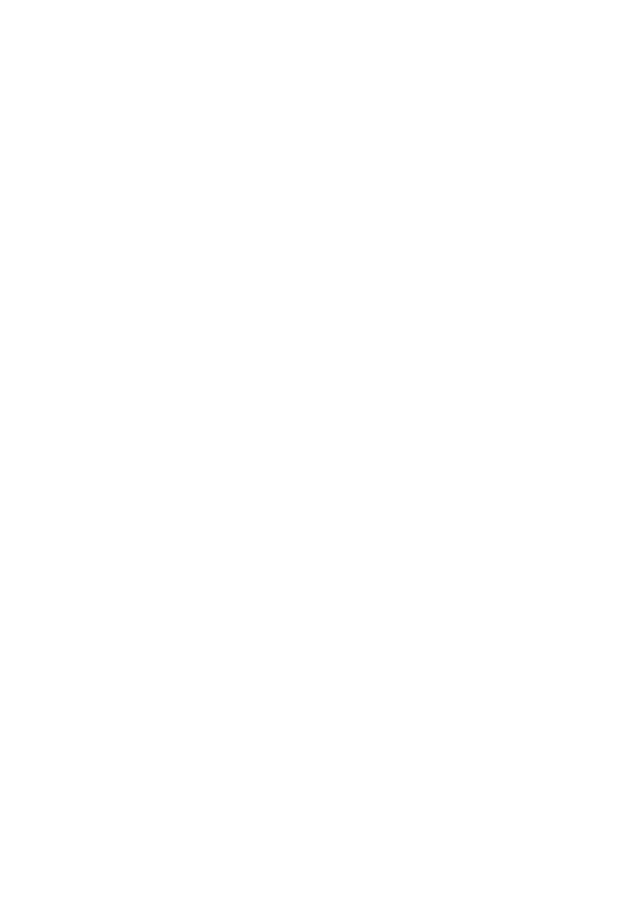| ---- |  |
|------|--|
|      |  |
|      |  |
|      |  |
|      |  |
|      |  |
|      |  |
|      |  |
|      |  |
|      |  |
|      |  |
|      |  |
|      |  |
|      |  |
|      |  |
|      |  |
|      |  |
|      |  |
|      |  |
|      |  |
|      |  |
|      |  |
|      |  |
|      |  |
|      |  |
|      |  |
|      |  |
|      |  |
|      |  |
|      |  |
|      |  |
|      |  |
|      |  |
|      |  |
|      |  |
|      |  |
|      |  |
|      |  |
|      |  |
|      |  |
|      |  |
|      |  |
|      |  |
|      |  |
|      |  |
|      |  |
|      |  |
|      |  |
|      |  |
|      |  |
|      |  |
|      |  |
|      |  |
|      |  |
|      |  |
|      |  |
|      |  |
|      |  |
|      |  |